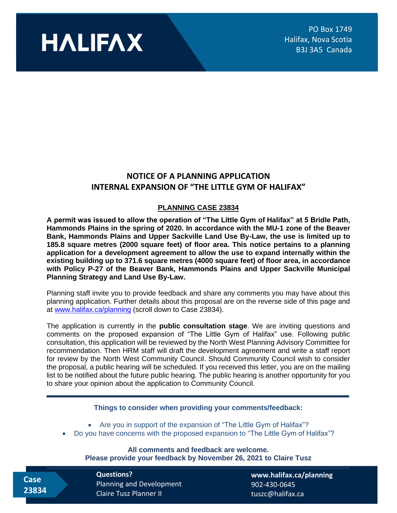

## **NOTICE OF A PLANNING APPLICATION INTERNAL EXPANSION OF "THE LITTLE GYM OF HALIFAX"**

## **PLANNING CASE 23834**

**A permit was issued to allow the operation of "The Little Gym of Halifax" at 5 Bridle Path, Hammonds Plains in the spring of 2020. In accordance with the MU-1 zone of the Beaver Bank, Hammonds Plains and Upper Sackville Land Use By-Law, the use is limited up to 185.8 square metres (2000 square feet) of floor area. This notice pertains to a planning application for a development agreement to allow the use to expand internally within the existing building up to 371.6 square metres (4000 square feet) of floor area, in accordance with Policy P-27 of the Beaver Bank, Hammonds Plains and Upper Sackville Municipal Planning Strategy and Land Use By-Law.**

Planning staff invite you to provide feedback and share any comments you may have about this planning application. Further details about this proposal are on the reverse side of this page and at [www.halifax.ca/planning](http://www.halifax.ca/planning) (scroll down to Case 23834).

The application is currently in the **public consultation stage**. We are inviting questions and comments on the proposed expansion of "The Little Gym of Halifax" use. Following public consultation, this application will be reviewed by the North West Planning Advisory Committee for recommendation. Then HRM staff will draft the development agreement and write a staff report for review by the North West Community Council. Should Community Council wish to consider the proposal, a public hearing will be scheduled. If you received this letter, you are on the mailing list to be notified about the future public hearing. The public hearing is another opportunity for you to share your opinion about the application to Community Council.

## **Things to consider when providing your comments/feedback:**

• Are you in support of the expansion of "The Little Gym of Halifax"?

• Do you have concerns with the proposed expansion to "The Little Gym of Halifax"?

**All comments and feedback are welcome. Please provide your feedback by November 26, 2021 to Claire Tusz**

 **Case 23834** **Questions?**  Planning and Development Claire Tusz Planner II

**[www.halifax.ca/planning](http://www.halifax.ca/planning)** 902-430-0645 tuszc@halifax.ca